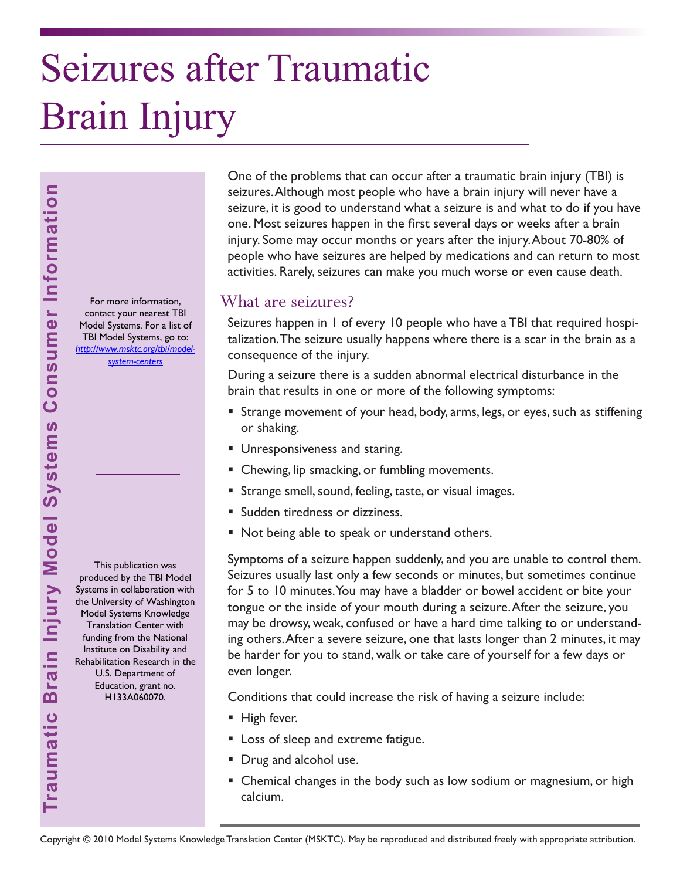# Seizures after Traumatic Brain Injury

For more information, contact your nearest TBI Model Systems. For a list of TBI Model Systems, go to: *[http://www.msktc.org/tbi/model](http://www.msktc.org/tbi/model-system-centers)system-centers* 

This publication was produced by the TBI Model Systems in collaboration with the University of Washington Model Systems Knowledge Translation Center with funding from the National Institute on Disability and Rehabilitation Research in the U.S. Department of Education, grant no. H133A060070.

One of the problems that can occur after a traumatic brain injury (TBI) is seizures. Although most people who have a brain injury will never have a seizure, it is good to understand what a seizure is and what to do if you have one. Most seizures happen in the first several days or weeks after a brain injury. Some may occur months or years after the injury. About 70-80% of people who have seizures are helped by medications and can return to most activities. Rarely, seizures can make you much worse or even cause death.

### What are seizures?

Seizures happen in 1 of every 10 people who have a TBI that required hospitalization. The seizure usually happens where there is a scar in the brain as a consequence of the injury.

During a seizure there is a sudden abnormal electrical disturbance in the brain that results in one or more of the following symptoms:

- Strange movement of your head, body, arms, legs, or eyes, such as stiffening or shaking.
- **Unresponsiveness and staring.**
- **EXEC** Chewing, lip smacking, or fumbling movements.
- **Strange smell, sound, feeling, taste, or visual images.**
- **Sudden tiredness or dizziness.**
- Not being able to speak or understand others.

Symptoms of a seizure happen suddenly, and you are unable to control them. Seizures usually last only a few seconds or minutes, but sometimes continue for 5 to 10 minutes. You may have a bladder or bowel accident or bite your tongue or the inside of your mouth during a seizure. After the seizure, you may be drowsy, weak, confused or have a hard time talking to or understanding others. After a severe seizure, one that lasts longer than 2 minutes, it may be harder for you to stand, walk or take care of yourself for a few days or even longer.

Conditions that could increase the risk of having a seizure include:

- High fever.
- **Loss of sleep and extreme fatigue.**
- **Drug and alcohol use.**
- **E** Chemical changes in the body such as low sodium or magnesium, or high calcium.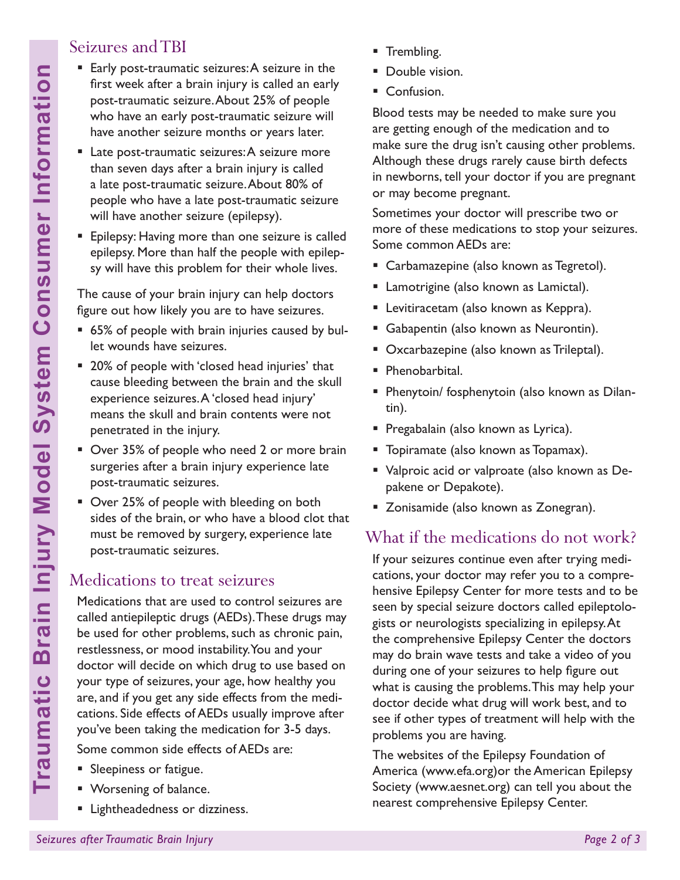# Seizures and TBI

- Early post-traumatic seizures: A seizure in the first week after a brain injury is called an early post-traumatic seizure. About 25% of people who have an early post-traumatic seizure will have another seizure months or years later.
- **Late post-traumatic seizures: A seizure more** than seven days after a brain injury is called a late post-traumatic seizure. About 80% of people who have a late post-traumatic seizure will have another seizure (epilepsy).
- **Epilepsy: Having more than one seizure is called** epilepsy. More than half the people with epilepsy will have this problem for their whole lives.

The cause of your brain injury can help doctors figure out how likely you are to have seizures.

- 65% of people with brain injuries caused by bullet wounds have seizures.
- 20% of people with 'closed head injuries' that cause bleeding between the brain and the skull experience seizures. A 'closed head injury' means the skull and brain contents were not penetrated in the injury.
- Over 35% of people who need 2 or more brain surgeries after a brain injury experience late post-traumatic seizures.
- **D** Over 25% of people with bleeding on both sides of the brain, or who have a blood clot that must be removed by surgery, experience late post-traumatic seizures.

### Medications to treat seizures

Medications that are used to control seizures are called antiepileptic drugs (AEDs). These drugs may be used for other problems, such as chronic pain, restlessness, or mood instability. You and your doctor will decide on which drug to use based on your type of seizures, your age, how healthy you are, and if you get any side effects from the medications. Side effects of AEDs usually improve after you've been taking the medication for 3-5 days.

Some common side effects of AEDs are:

- **Sleepiness or fatigue.**
- Worsening of balance.
- **E** Lightheadedness or dizziness.
- **Trembling.**
- Double vision.
- Confusion.

Blood tests may be needed to make sure you are getting enough of the medication and to make sure the drug isn't causing other problems. Although these drugs rarely cause birth defects in newborns, tell your doctor if you are pregnant or may become pregnant.

Sometimes your doctor will prescribe two or more of these medications to stop your seizures. Some common AEDs are:

- **Carbamazepine (also known as Tegretol).**
- **Lamotrigine (also known as Lamictal).**
- Levitiracetam (also known as Keppra).
- Gabapentin (also known as Neurontin).
- **Oxcarbazepine (also known as Trileptal).**
- **Phenobarbital.**
- **Phenytoin/ fosphenytoin (also known as Dilan**tin).
- **Pregabalain (also known as Lyrica).**
- **Topiramate (also known as Topamax).**
- Valproic acid or valproate (also known as Depakene or Depakote).
- **EXECONEGIST 2018** Zonegran).

# What if the medications do not work?

If your seizures continue even after trying medications, your doctor may refer you to a comprehensive Epilepsy Center for more tests and to be seen by special seizure doctors called epileptologists or neurologists specializing in epilepsy. At the comprehensive Epilepsy Center the doctors may do brain wave tests and take a video of you during one of your seizures to help figure out what is causing the problems. This may help your doctor decide what drug will work best, and to see if other types of treatment will help with the problems you are having.

The websites of the Epilepsy Foundation of America (www.efa.org)or the American Epilepsy Society (www.aesnet.org) can tell you about the nearest comprehensive Epilepsy Center.